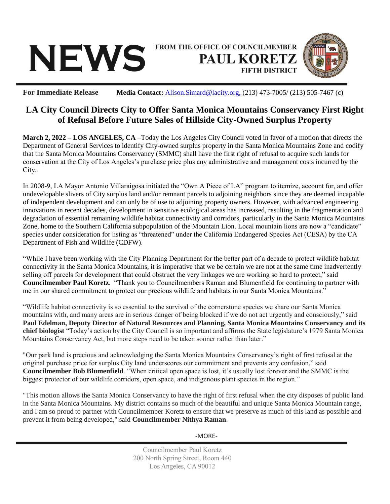## FROM THE OFFICE OF COUNCILMEMBER **NEWS PAUL KORETZ FIFTH DISTRICT**



**For Immediate Release Media Contact:** [Alison.Simard@lacity.org,](mailto:Alison.Simard@lacity.org) (213) 473-7005/ (213) 505-7467 (c)

## **LA City Council Directs City to Offer Santa Monica Mountains Conservancy First Right of Refusal Before Future Sales of Hillside City-Owned Surplus Property**

**March 2, 2022 – LOS ANGELES, CA** –Today the Los Angeles City Council voted in favor of a motion that directs the Department of General Services to identify City-owned surplus property in the Santa Monica Mountains Zone and codify that the Santa Monica Mountains Conservancy (SMMC) shall have the first right of refusal to acquire such lands for conservation at the City of Los Angeles's purchase price plus any administrative and management costs incurred by the City.

In 2008-9, LA Mayor Antonio Villaraigosa initiated the "Own A Piece of LA" program to itemize, account for, and offer undevelopable slivers of City surplus land and/or remnant parcels to adjoining neighbors since they are deemed incapable of independent development and can only be of use to adjoining property owners. However, with advanced engineering innovations in recent decades, development in sensitive ecological areas has increased, resulting in the fragmentation and degradation of essential remaining wildlife habitat connectivity and corridors, particularly in the Santa Monica Mountains Zone, home to the Southern California subpopulation of the Mountain Lion. Local mountain lions are now a "candidate" species under consideration for listing as "threatened" under the California Endangered Species Act (CESA) by the CA Department of Fish and Wildlife (CDFW).

"While I have been working with the City Planning Department for the better part of a decade to protect wildlife habitat connectivity in the Santa Monica Mountains, it is imperative that we be certain we are not at the same time inadvertently selling off parcels for development that could obstruct the very linkages we are working so hard to protect," said **Councilmember Paul Koretz**. "Thank you to Councilmembers Raman and Blumenfield for continuing to partner with me in our shared commitment to protect our precious wildlife and habitats in our Santa Monica Mountains."

"Wildlife habitat connectivity is so essential to the survival of the cornerstone species we share our Santa Monica mountains with, and many areas are in serious danger of being blocked if we do not act urgently and consciously," said **Paul Edelman, Deputy Director of Natural Resources and Planning, Santa Monica Mountains Conservancy and its chief biologist** "Today's action by the City Council is so important and affirms the State legislature's 1979 Santa Monica Mountains Conservancy Act, but more steps need to be taken sooner rather than later."

"Our park land is precious and acknowledging the Santa Monica Mountains Conservancy's right of first refusal at the original purchase price for surplus City land underscores our commitment and prevents any confusion," said **Councilmember Bob Blumenfield**. "When critical open space is lost, it's usually lost forever and the SMMC is the biggest protector of our wildlife corridors, open space, and indigenous plant species in the region."

"This motion allows the Santa Monica Conservancy to have the right of first refusal when the city disposes of public land in the Santa Monica Mountains. My district contains so much of the beautiful and unique Santa Monica Mountain range, and I am so proud to partner with Councilmember Koretz to ensure that we preserve as much of this land as possible and prevent it from being developed," said **Councilmember Nithya Raman**.

-MORE-